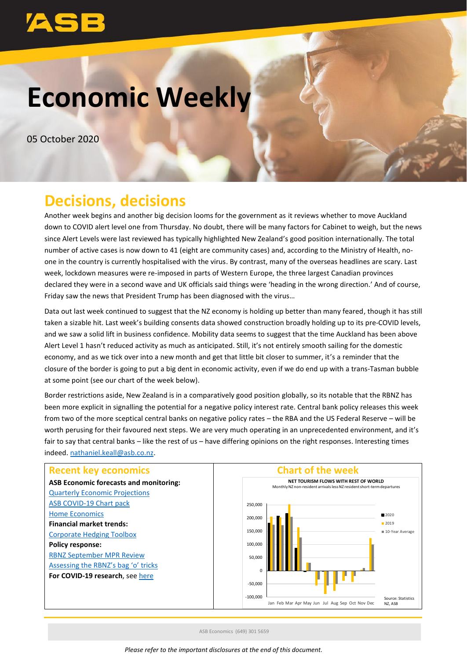# **Economic Weekly**

05 October 2020

# **Decisions, decisions**

Another week begins and another big decision looms for the government as it reviews whether to move Auckland down to COVID alert level one from Thursday. No doubt, there will be many factors for Cabinet to weigh, but the news since Alert Levels were last reviewed has typically highlighted New Zealand's good position internationally. The total number of active cases is now down to 41 (eight are community cases) and, according to the Ministry of Health, noone in the country is currently hospitalised with the virus. By contrast, many of the overseas headlines are scary. Last week, lockdown measures were re-imposed in parts of Western Europe, the three largest Canadian provinces declared they were in a second wave and UK officials said things were 'heading in the wrong direction.' And of course, Friday saw the news that President Trump has been diagnosed with the virus…

Data out last week continued to suggest that the NZ economy is holding up better than many feared, though it has still taken a sizable hit. Last week's building consents data showed construction broadly holding up to its pre-COVID levels, and we saw a solid lift in business confidence. Mobility data seems to suggest that the time Auckland has been above Alert Level 1 hasn't reduced activity as much as anticipated. Still, it's not entirely smooth sailing for the domestic economy, and as we tick over into a new month and get that little bit closer to summer, it's a reminder that the closure of the border is going to put a big dent in economic activity, even if we do end up with a trans-Tasman bubble at some point (see our chart of the week below).

Border restrictions aside, New Zealand is in a comparatively good position globally, so its notable that the RBNZ has been more explicit in signalling the potential for a negative policy interest rate. Central bank policy releases this week from two of the more sceptical central banks on negative policy rates – the RBA and the US Federal Reserve – will be worth perusing for their favoured next steps. We are very much operating in an unprecedented environment, and it's fair to say that central banks – like the rest of us – have differing opinions on the right responses. Interesting times indeed. [nathaniel.keall@asb.co.nz.](mailto:nathaniel.keall@asb.co.nz)



ASB Economics (649) 301 5659

*Please refer to the important disclosures at the end of this document.*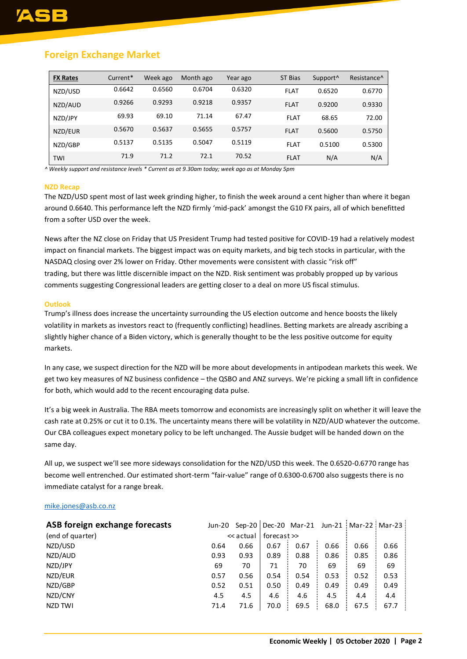# **Foreign Exchange Market**

| <b>FX Rates</b> | Current* | Week ago | Month ago | Year ago | ST Bias     | Support <sup>^</sup> | Resistance <sup>^</sup> |
|-----------------|----------|----------|-----------|----------|-------------|----------------------|-------------------------|
| NZD/USD         | 0.6642   | 0.6560   | 0.6704    | 0.6320   | <b>FLAT</b> | 0.6520               | 0.6770                  |
| NZD/AUD         | 0.9266   | 0.9293   | 0.9218    | 0.9357   | <b>FLAT</b> | 0.9200               | 0.9330                  |
| NZD/JPY         | 69.93    | 69.10    | 71.14     | 67.47    | <b>FLAT</b> | 68.65                | 72.00                   |
| NZD/EUR         | 0.5670   | 0.5637   | 0.5655    | 0.5757   | <b>FLAT</b> | 0.5600               | 0.5750                  |
| NZD/GBP         | 0.5137   | 0.5135   | 0.5047    | 0.5119   | <b>FLAT</b> | 0.5100               | 0.5300                  |
| TWI             | 71.9     | 71.2     | 72.1      | 70.52    | <b>FLAT</b> | N/A                  | N/A                     |

*^ Weekly support and resistance levels \* Current as at 9.30am today; week ago as at Monday 5pm*

#### **NZD Recap**

The NZD/USD spent most of last week grinding higher, to finish the week around a cent higher than where it began around 0.6640. This performance left the NZD firmly 'mid-pack' amongst the G10 FX pairs, all of which benefitted from a softer USD over the week.

News after the NZ close on Friday that US President Trump had tested positive for COVID-19 had a relatively modest impact on financial markets. The biggest impact was on equity markets, and big tech stocks in particular, with the NASDAQ closing over 2% lower on Friday. Other movements were consistent with classic "risk off" trading, but there was little discernible impact on the NZD. Risk sentiment was probably propped up by various comments suggesting Congressional leaders are getting closer to a deal on more US fiscal stimulus.

#### **Outlook**

Trump's illness does increase the uncertainty surrounding the US election outcome and hence boosts the likely volatility in markets as investors react to (frequently conflicting) headlines. Betting markets are already ascribing a slightly higher chance of a Biden victory, which is generally thought to be the less positive outcome for equity markets.

In any case, we suspect direction for the NZD will be more about developments in antipodean markets this week. We get two key measures of NZ business confidence – the QSBO and ANZ surveys. We're picking a small lift in confidence for both, which would add to the recent encouraging data pulse.

It's a big week in Australia. The RBA meets tomorrow and economists are increasingly split on whether it will leave the cash rate at 0.25% or cut it to 0.1%. The uncertainty means there will be volatility in NZD/AUD whatever the outcome. Our CBA colleagues expect monetary policy to be left unchanged. The Aussie budget will be handed down on the same day.

All up, we suspect we'll see more sideways consolidation for the NZD/USD this week. The 0.6520-0.6770 range has become well entrenched. Our estimated short-term "fair-value" range of 0.6300-0.6700 also suggests there is no immediate catalyst for a range break.

### [mike.jones@asb.co.nz](mailto:Mike.jones@asb.co.nz)

| ASB foreign exchange forecasts |      |           |             |      |      |      | Jun-20 Sep-20   Dec-20 Mar-21 Jun-21   Mar-22   Mar-23 |
|--------------------------------|------|-----------|-------------|------|------|------|--------------------------------------------------------|
| (end of quarter)               |      | << actual | forecast >> |      |      |      |                                                        |
| NZD/USD                        | 0.64 | 0.66      | 0.67        | 0.67 | 0.66 | 0.66 | 0.66                                                   |
| NZD/AUD                        | 0.93 | 0.93      | 0.89        | 0.88 | 0.86 | 0.85 | 0.86                                                   |
| NZD/JPY                        | 69   | 70        | 71          | 70   | 69   | 69   | 69                                                     |
| NZD/EUR                        | 0.57 | 0.56      | 0.54        | 0.54 | 0.53 | 0.52 | 0.53                                                   |
| NZD/GBP                        | 0.52 | 0.51      | 0.50        | 0.49 | 0.49 | 0.49 | 0.49                                                   |
| NZD/CNY                        | 4.5  | 4.5       | 4.6         | 4.6  | 4.5  | 4.4  | 4.4                                                    |
| NZD TWI                        | 71.4 | 71.6      | 70.0        | 69.5 | 68.0 | 67.5 | 67.7                                                   |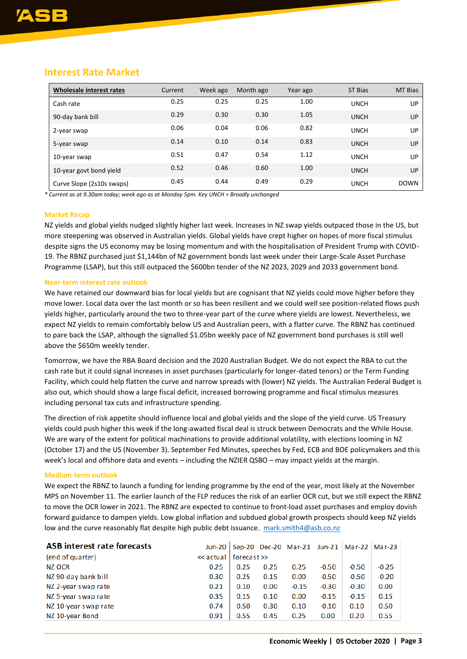| Wholesale interest rates  | Current | Week ago | Month ago | Year ago | ST Bias     | <b>MT Bias</b> |
|---------------------------|---------|----------|-----------|----------|-------------|----------------|
| Cash rate                 | 0.25    | 0.25     | 0.25      | 1.00     | <b>UNCH</b> | UP             |
| 90-day bank bill          | 0.29    | 0.30     | 0.30      | 1.05     | <b>UNCH</b> | UP             |
| 2-year swap               | 0.06    | 0.04     | 0.06      | 0.82     | <b>UNCH</b> | UP             |
| 5-year swap               | 0.14    | 0.10     | 0.14      | 0.83     | <b>UNCH</b> | UP             |
| 10-year swap              | 0.51    | 0.47     | 0.54      | 1.12     | <b>UNCH</b> | UP             |
| 10-year govt bond yield   | 0.52    | 0.46     | 0.60      | 1.00     | <b>UNCH</b> | UP             |
| Curve Slope (2s10s swaps) | 0.45    | 0.44     | 0.49      | 0.29     | <b>UNCH</b> | <b>DOWN</b>    |

## **Interest Rate Market**

*\* Current as at 9.30am today; week ago as at Monday 5pm. Key UNCH = Broadly unchanged*

#### **Market Recap**

NZ yields and global yields nudged slightly higher last week. Increases in NZ swap yields outpaced those in the US, but more steepening was observed in Australian yields. Global yields have crept higher on hopes of more fiscal stimulus despite signs the US economy may be losing momentum and with the hospitalisation of President Trump with COVID-19. The RBNZ purchased just \$1,144bn of NZ government bonds last week under their Large-Scale Asset Purchase Programme (LSAP), but this still outpaced the \$600bn tender of the NZ 2023, 2029 and 2033 government bond.

#### **Near-term interest rate outlook**

We have retained our downward bias for local yields but are cognisant that NZ yields could move higher before they move lower. Local data over the last month or so has been resilient and we could well see position-related flows push yields higher, particularly around the two to three-year part of the curve where yields are lowest. Nevertheless, we expect NZ yields to remain comfortably below US and Australian peers, with a flatter curve. The RBNZ has continued to pare back the LSAP, although the signalled \$1.05bn weekly pace of NZ government bond purchases is still well above the \$650m weekly tender.

Tomorrow, we have the RBA Board decision and the 2020 Australian Budget. We do not expect the RBA to cut the cash rate but it could signal increases in asset purchases (particularly for longer-dated tenors) or the Term Funding Facility, which could help flatten the curve and narrow spreads with (lower) NZ yields. The Australian Federal Budget is also out, which should show a large fiscal deficit, increased borrowing programme and fiscal stimulus measures including personal tax cuts and infrastructure spending.

The direction of risk appetite should influence local and global yields and the slope of the yield curve. US Treasury yields could push higher this week if the long-awaited fiscal deal is struck between Democrats and the While House. We are wary of the extent for political machinations to provide additional volatility, with elections looming in NZ (October 17) and the US (November 3). September Fed Minutes, speeches by Fed, ECB and BOE policymakers and this week's local and offshore data and events – including the NZIER QSBO – may impact yields at the margin.

#### **Medium-term outlook**

We expect the RBNZ to launch a funding for lending programme by the end of the year, most likely at the November MPS on November 11. The earlier launch of the FLP reduces the risk of an earlier OCR cut, but we still expect the RBNZ to move the OCR lower in 2021. The RBNZ are expected to continue to front-load asset purchases and employ dovish forward guidance to dampen yields. Low global inflation and subdued global growth prospects should keep NZ yields low and the curve reasonably flat despite high public debt issuance. [mark.smith4@asb.co.nz](mailto:mark.smith4@asb.co.nz)

| <b>ASB interest rate forecasts</b> |           |          |      |         |         |         | Jun-20   Sep-20 Dec-20 Mar-21 Jun-21   Mar-22   Mar-23 |  |
|------------------------------------|-----------|----------|------|---------|---------|---------|--------------------------------------------------------|--|
| (end of quarter)                   | << actual | forecast |      |         |         |         |                                                        |  |
| NZ OCR                             | 0.25      | 0.25     | 0.25 | 0.25    | $-0.50$ | $-0.50$ | $-0.25$                                                |  |
| NZ 90-day bank bill                | 0.30      | 0.25     | 0.15 | 0.00    | $-0.50$ | $-0.50$ | $-0.20$                                                |  |
| NZ 2-year swap rate                | 0.21      | 0.10     | 0.00 | $-0.15$ | $-0.30$ | $-0.30$ | 0.00                                                   |  |
| NZ 5-year swap rate                | 0.35      | 0.15     | 0.10 | 0.00    | $-0.15$ | $-0.15$ | 0.15                                                   |  |
| NZ 10-year swap rate               | 0.74      | 0.50     | 0.30 | 0.10    | $-0.10$ | 0.10    | 0.50                                                   |  |
| NZ 10-year Bond                    | 0.91      | 0.55     | 0.45 | 0.25    | 0.00    | 0.20    | 0.55                                                   |  |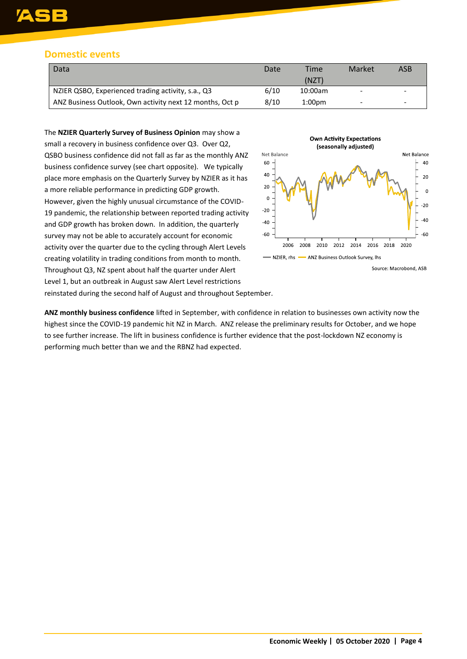# **Domestic events**

| Data                                                     | Date | Time               | Market | ASB |
|----------------------------------------------------------|------|--------------------|--------|-----|
|                                                          |      | (NZT)              |        |     |
| NZIER QSBO, Experienced trading activity, s.a., Q3       | 6/10 | 10:00am            | -      | -   |
| ANZ Business Outlook, Own activity next 12 months, Oct p | 8/10 | 1:00 <sub>pm</sub> |        | -   |

The **NZIER Quarterly Survey of Business Opinion** may show a small a recovery in business confidence over Q3. Over Q2, QSBO business confidence did not fall as far as the monthly ANZ business confidence survey (see chart opposite). We typically place more emphasis on the Quarterly Survey by NZIER as it has a more reliable performance in predicting GDP growth. However, given the highly unusual circumstance of the COVID-19 pandemic, the relationship between reported trading activity and GDP growth has broken down. In addition, the quarterly survey may not be able to accurately account for economic activity over the quarter due to the cycling through Alert Levels creating volatility in trading conditions from month to month. Throughout Q3, NZ spent about half the quarter under Alert Level 1, but an outbreak in August saw Alert Level restrictions reinstated during the second half of August and throughout September.

performing much better than we and the RBNZ had expected.



**ANZ monthly business confidence** lifted in September, with confidence in relation to businesses own activity now the highest since the COVID-19 pandemic hit NZ in March. ANZ release the preliminary results for October, and we hope to see further increase. The lift in business confidence is further evidence that the post-lockdown NZ economy is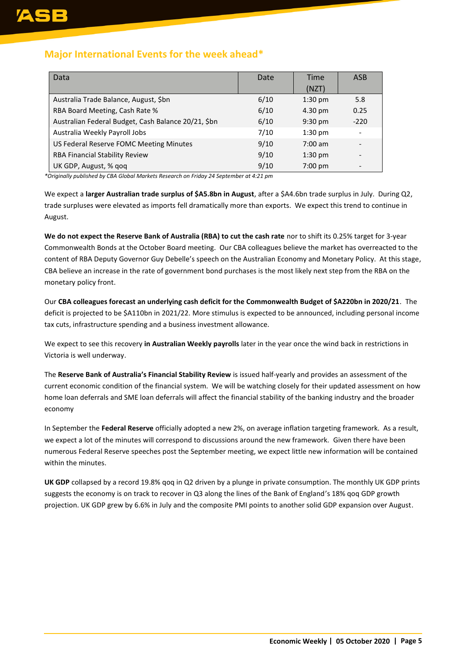# **Major International Events for the week ahead\***

| Data                                                | Date | Time<br>(NZT)     | <b>ASB</b>               |
|-----------------------------------------------------|------|-------------------|--------------------------|
| Australia Trade Balance, August, \$bn               | 6/10 | $1:30$ pm         | 5.8                      |
| RBA Board Meeting, Cash Rate %                      | 6/10 | 4.30 pm           | 0.25                     |
| Australian Federal Budget, Cash Balance 20/21, \$bn | 6/10 | $9:30 \text{ pm}$ | $-220$                   |
| Australia Weekly Payroll Jobs                       | 7/10 | $1:30$ pm         |                          |
| US Federal Reserve FOMC Meeting Minutes             | 9/10 | $7:00 \text{ am}$ |                          |
| <b>RBA Financial Stability Review</b>               | 9/10 | $1:30$ pm         |                          |
| UK GDP, August, % gog                               | 9/10 | $7:00 \text{ pm}$ | $\overline{\phantom{0}}$ |

*\*Originally published by CBA Global Markets Research on Friday 24 September at 4:21 pm*

We expect a **larger Australian trade surplus of \$A5.8bn in August**, after a \$A4.6bn trade surplus in July. During Q2, trade surpluses were elevated as imports fell dramatically more than exports. We expect this trend to continue in August.

**We do not expect the Reserve Bank of Australia (RBA) to cut the cash rate** nor to shift its 0.25% target for 3-year Commonwealth Bonds at the October Board meeting. Our CBA colleagues believe the market has overreacted to the content of RBA Deputy Governor Guy Debelle's speech on the Australian Economy and Monetary Policy. At this stage, CBA believe an increase in the rate of government bond purchases is the most likely next step from the RBA on the monetary policy front.

Our **CBA colleagues forecast an underlying cash deficit for the Commonwealth Budget of \$A220bn in 2020/21**. The deficit is projected to be \$A110bn in 2021/22. More stimulus is expected to be announced, including personal income tax cuts, infrastructure spending and a business investment allowance.

We expect to see this recovery **in Australian Weekly payrolls** later in the year once the wind back in restrictions in Victoria is well underway.

The **Reserve Bank of Australia's Financial Stability Review** is issued half-yearly and provides an assessment of the current economic condition of the financial system. We will be watching closely for their updated assessment on how home loan deferrals and SME loan deferrals will affect the financial stability of the banking industry and the broader economy

In September the **Federal Reserve** officially adopted a new 2%, on average inflation targeting framework. As a result, we expect a lot of the minutes will correspond to discussions around the new framework. Given there have been numerous Federal Reserve speeches post the September meeting, we expect little new information will be contained within the minutes.

**UK GDP** collapsed by a record 19.8% qoq in Q2 driven by a plunge in private consumption. The monthly UK GDP prints suggests the economy is on track to recover in Q3 along the lines of the Bank of England's 18% qoq GDP growth projection. UK GDP grew by 6.6% in July and the composite PMI points to another solid GDP expansion over August.